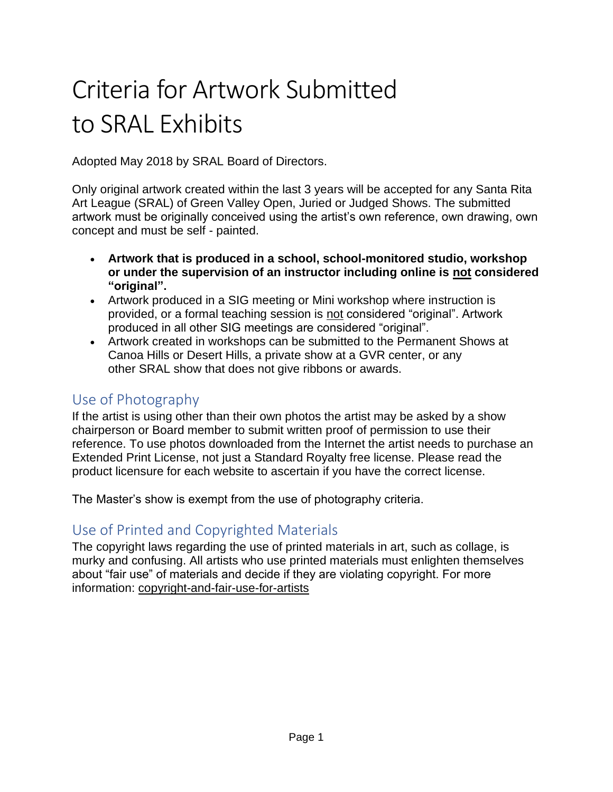# Criteria for Artwork Submitted to SRAL Exhibits

Adopted May 2018 by SRAL Board of Directors.

Only original artwork created within the last 3 years will be accepted for any Santa Rita Art League (SRAL) of Green Valley Open, Juried or Judged Shows. The submitted artwork must be originally conceived using the artist's own reference, own drawing, own concept and must be self - painted.

- **Artwork that is produced in a school, school-monitored studio, workshop or under the supervision of an instructor including online is not considered "original".**
- Artwork produced in a SIG meeting or Mini workshop where instruction is provided, or a formal teaching session is not considered "original". Artwork produced in all other SIG meetings are considered "original".
- Artwork created in workshops can be submitted to the Permanent Shows at Canoa Hills or Desert Hills, a private show at a GVR center, or any other SRAL show that does not give ribbons or awards.

# Use of Photography

If the artist is using other than their own photos the artist may be asked by a show chairperson or Board member to submit written proof of permission to use their reference. To use photos downloaded from the Internet the artist needs to purchase an Extended Print License, not just a Standard Royalty free license. Please read the product licensure for each website to ascertain if you have the correct license.

The Master's show is exempt from the use of photography criteria.

# Use of Printed and Copyrighted Materials

The copyright laws regarding the use of printed materials in art, such as collage, is murky and confusing. All artists who use printed materials must enlighten themselves about "fair use" of materials and decide if they are violating copyright. For more information: [copyright-and-fair-use-for-artists](https://www.artbusinessinfo.com/copyright-and-fair-use-for-artists.html)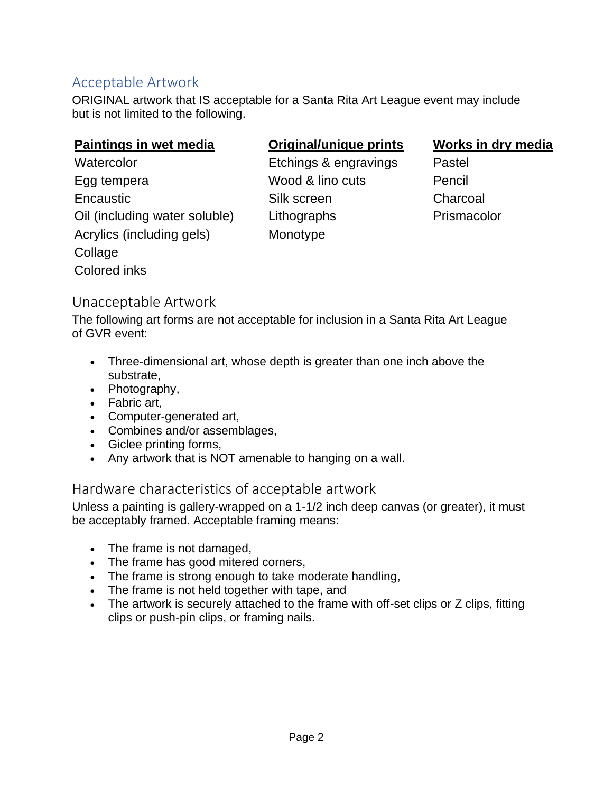# Acceptable Artwork

ORIGINAL artwork that IS acceptable for a Santa Rita Art League event may include but is not limited to the following.

#### **Paintings in wet media Original/unique prints Works in dry media**

Watercolor **Etchings & engravings** Pastel Egg tempera Wood & lino cuts Pencil Encaustic **Silk screen** Charcoal Oil (including water soluble) Lithographs Prismacolor Acrylics (including gels) Monotype **Collage** Colored inks

### Unacceptable Artwork

The following art forms are not acceptable for inclusion in a Santa Rita Art League of GVR event:

- Three-dimensional art, whose depth is greater than one inch above the substrate,
- Photography,
- Fabric art,
- Computer-generated art,
- Combines and/or assemblages,
- Giclee printing forms,
- Any artwork that is NOT amenable to hanging on a wall.

### Hardware characteristics of acceptable artwork

Unless a painting is gallery-wrapped on a 1-1/2 inch deep canvas (or greater), it must be acceptably framed. Acceptable framing means:

- The frame is not damaged,
- The frame has good mitered corners,
- The frame is strong enough to take moderate handling,
- The frame is not held together with tape, and
- The artwork is securely attached to the frame with off-set clips or Z clips, fitting clips or push-pin clips, or framing nails.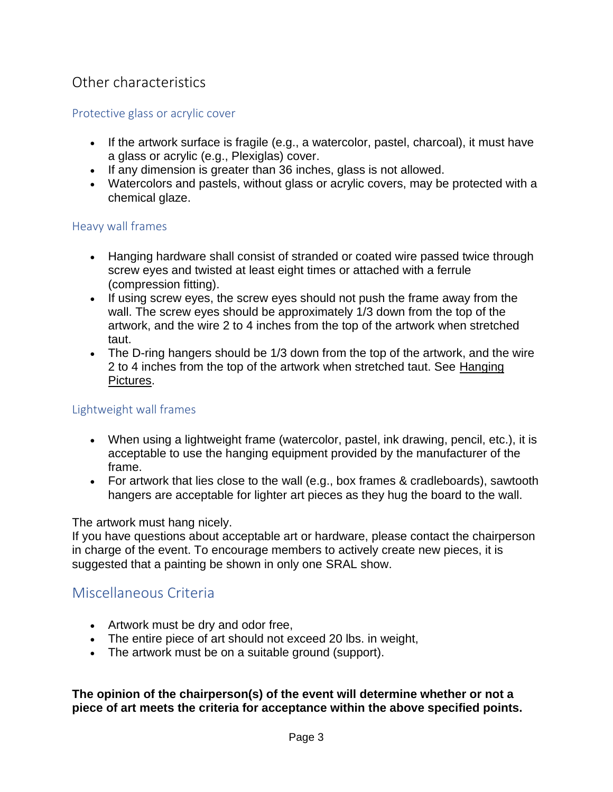# Other characteristics

#### Protective glass or acrylic cover

- If the artwork surface is fragile (e.g., a watercolor, pastel, charcoal), it must have a glass or acrylic (e.g., Plexiglas) cover.
- If any dimension is greater than 36 inches, glass is not allowed.
- Watercolors and pastels, without glass or acrylic covers, may be protected with a chemical glaze.

#### Heavy wall frames

- Hanging hardware shall consist of stranded or coated wire passed twice through screw eyes and twisted at least eight times or attached with a ferrule (compression fitting).
- If using screw eyes, the screw eyes should not push the frame away from the wall. The screw eyes should be approximately 1/3 down from the top of the artwork, and the wire 2 to 4 inches from the top of the artwork when stretched taut.
- The D-ring hangers should be 1/3 down from the top of the artwork, and the wire 2 to 4 inches from the top of the artwork when stretched taut. See [Hanging](https://srart.org/handbooks/hanging_pictures.php)  [Pictures.](https://srart.org/handbooks/hanging_pictures.php)

#### Lightweight wall frames

- When using a lightweight frame (watercolor, pastel, ink drawing, pencil, etc.), it is acceptable to use the hanging equipment provided by the manufacturer of the frame.
- For artwork that lies close to the wall (e.g., box frames & cradleboards), sawtooth hangers are acceptable for lighter art pieces as they hug the board to the wall.

#### The artwork must hang nicely.

If you have questions about acceptable art or hardware, please contact the chairperson in charge of the event. To encourage members to actively create new pieces, it is suggested that a painting be shown in only one SRAL show.

### Miscellaneous Criteria

- Artwork must be dry and odor free,
- The entire piece of art should not exceed 20 lbs. in weight,
- The artwork must be on a suitable ground (support).

**The opinion of the chairperson(s) of the event will determine whether or not a piece of art meets the criteria for acceptance within the above specified points.**